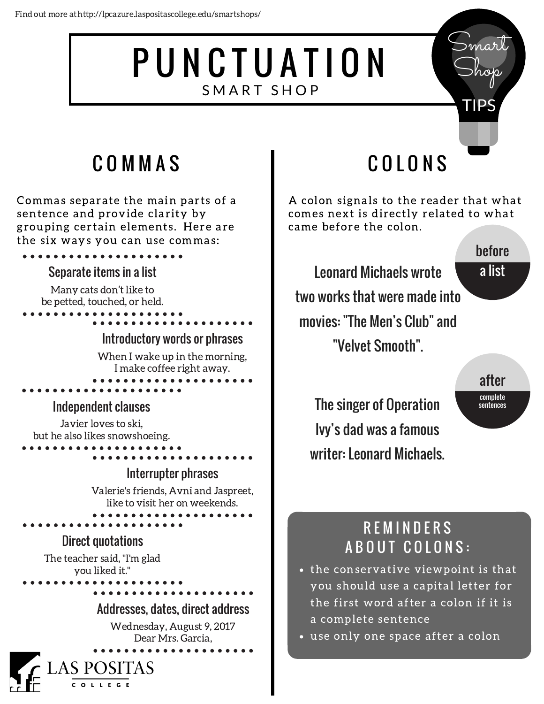# PUNCTUATION SMART SHOP

# C O M M A S

Commas separate the main parts of a sentence and provide clarity by grouping certain elements. Here are the six ways you can use commas:

#### Separate items in a list

Many cats don't like to be petted, touched, or held.

Introductory words or phrases

When I wake up in the morning, I make coffee right away.

#### Independent clauses

Javier loves to ski, but he also likes snowshoeing.

#### Interrupter phrases

Valerie's friends, Avni and Jaspreet, like to visit her on weekends.

#### Direct quotations

The teacher said, "I'm glad you liked it."

> **AS POSITAS** COLLEGE

Addresses, dates, direct address

Wednesday, August 9, 2017 Dear Mrs. Garcia,

# C O L O N S

A colon signals to the reader that what comes next is directly related to what came before the colon.

Leonard Michaels wrote two works that were made into movies: "The Men's Club" and "Velvet Smooth".

## before a list

mar

Shop

TIPS

after complete sentences

The singer of Operation Ivy's dad was a famous writer: Leonard Michaels.

## **REMINDERS** A B O U T C O L O N S :

- the conservative viewpoint is that you should use a capital letter for the first word after a colon if it is a complete sentence
- use only one space after a colon